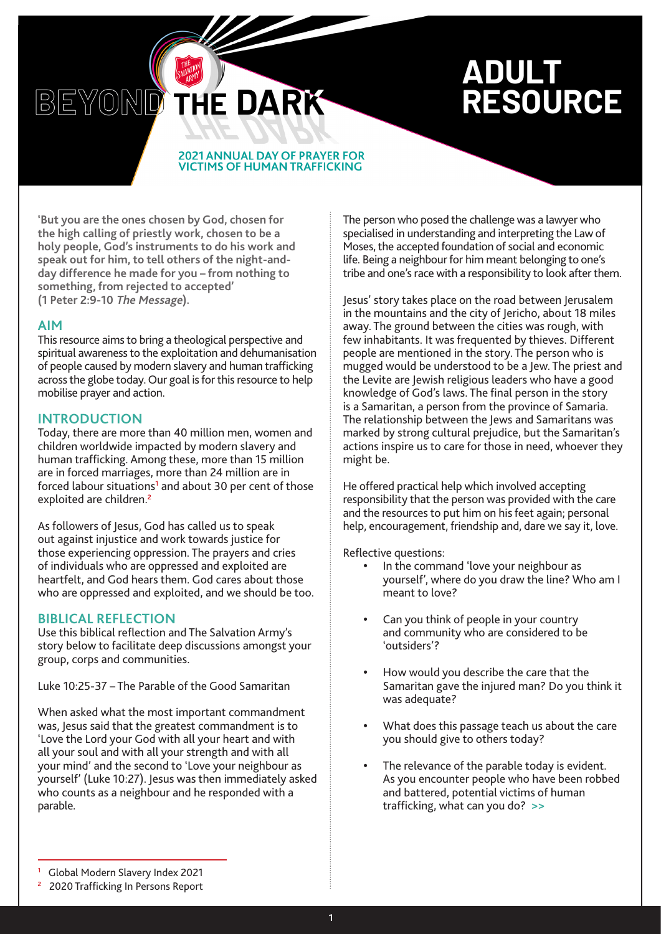# **ADULT RESOURCE**

#### **2021 ANNUAL DAY OF PRAYER FOR VICTIMS OF HUMAN TRAFFICKING**

THE DARK

**'But you are the ones chosen by God, chosen for the high calling of priestly work, chosen to be a holy people, God's instruments to do his work and speak out for him, to tell others of the night-andday difference he made for you – from nothing to something, from rejected to accepted' (1 Peter 2:9-10 The Message).**

## **AIM**

This resource aims to bring a theological perspective and spiritual awareness to the exploitation and dehumanisation of people caused by modern slavery and human trafficking across the globe today. Our goal is for this resource to help mobilise prayer and action.

# **INTRODUCTION**

BEYOND

Today, there are more than 40 million men, women and children worldwide impacted by modern slavery and human trafficking. Among these, more than 15 million are in forced marriages, more than 24 million are in forced labour situations<sup>1</sup> and about 30 per cent of those exploited are children.**<sup>2</sup>**

As followers of Jesus, God has called us to speak out against injustice and work towards justice for those experiencing oppression. The prayers and cries of individuals who are oppressed and exploited are heartfelt, and God hears them. God cares about those who are oppressed and exploited, and we should be too.

# **BIBLICAL REFLECTION**

Use this biblical reflection and The Salvation Army's story below to facilitate deep discussions amongst your group, corps and communities.

Luke 10:25-37 – The Parable of the Good Samaritan

When asked what the most important commandment was, Jesus said that the greatest commandment is to 'Love the Lord your God with all your heart and with all your soul and with all your strength and with all your mind' and the second to 'Love your neighbour as yourself' (Luke 10:27). Jesus was then immediately asked who counts as a neighbour and he responded with a parable.

The person who posed the challenge was a lawyer who specialised in understanding and interpreting the Law of Moses, the accepted foundation of social and economic life. Being a neighbour for him meant belonging to one's tribe and one's race with a responsibility to look after them.

Jesus' story takes place on the road between Jerusalem in the mountains and the city of Jericho, about 18 miles away. The ground between the cities was rough, with few inhabitants. It was frequented by thieves. Different people are mentioned in the story. The person who is mugged would be understood to be a Jew. The priest and the Levite are Jewish religious leaders who have a good knowledge of God's laws. The final person in the story is a Samaritan, a person from the province of Samaria. The relationship between the Jews and Samaritans was marked by strong cultural prejudice, but the Samaritan's actions inspire us to care for those in need, whoever they might be.

He offered practical help which involved accepting responsibility that the person was provided with the care and the resources to put him on his feet again; personal help, encouragement, friendship and, dare we say it, love.

Reflective questions:

- In the command 'love your neighbour as yourself', where do you draw the line? Who am I meant to love?
- Can you think of people in your country and community who are considered to be 'outsiders'?
- How would you describe the care that the Samaritan gave the injured man? Do you think it was adequate?
- What does this passage teach us about the care you should give to others today?
- The relevance of the parable today is evident. As you encounter people who have been robbed and battered, potential victims of human trafficking, what can you do? **>>**

**<sup>1</sup>** Global Modern Slavery Index 2021

**<sup>2</sup>** 2020 Trafficking In Persons Report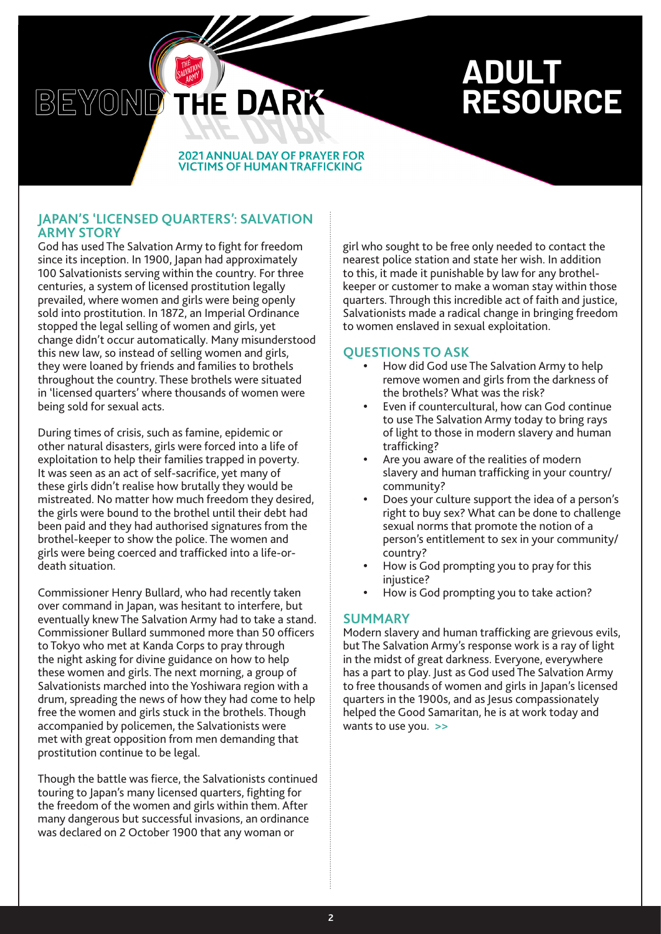# **ADULT RESOURCE**

#### **2021 ANNUAL DAY OF PRAYER FOR VICTIMS OF HUMAN TRAFFICKING**

HE DARK

# **JAPAN'S 'LICENSED QUARTERS': SALVATION ARMY STORY**

BEYOND

God has used The Salvation Army to fight for freedom since its inception. In 1900, Japan had approximately 100 Salvationists serving within the country. For three centuries, a system of licensed prostitution legally prevailed, where women and girls were being openly sold into prostitution. In 1872, an Imperial Ordinance stopped the legal selling of women and girls, yet change didn't occur automatically. Many misunderstood this new law, so instead of selling women and girls, they were loaned by friends and families to brothels throughout the country. These brothels were situated in 'licensed quarters' where thousands of women were being sold for sexual acts.

During times of crisis, such as famine, epidemic or other natural disasters, girls were forced into a life of exploitation to help their families trapped in poverty. It was seen as an act of self-sacrifice, yet many of these girls didn't realise how brutally they would be mistreated. No matter how much freedom they desired, the girls were bound to the brothel until their debt had been paid and they had authorised signatures from the brothel-keeper to show the police. The women and girls were being coerced and trafficked into a life-ordeath situation.

Commissioner Henry Bullard, who had recently taken over command in Japan, was hesitant to interfere, but eventually knew The Salvation Army had to take a stand. Commissioner Bullard summoned more than 50 officers to Tokyo who met at Kanda Corps to pray through the night asking for divine guidance on how to help these women and girls. The next morning, a group of Salvationists marched into the Yoshiwara region with a drum, spreading the news of how they had come to help free the women and girls stuck in the brothels. Though accompanied by policemen, the Salvationists were met with great opposition from men demanding that prostitution continue to be legal.

Though the battle was fierce, the Salvationists continued touring to Japan's many licensed quarters, fighting for the freedom of the women and girls within them. After many dangerous but successful invasions, an ordinance was declared on 2 October 1900 that any woman or

girl who sought to be free only needed to contact the nearest police station and state her wish. In addition to this, it made it punishable by law for any brothelkeeper or customer to make a woman stay within those quarters. Through this incredible act of faith and justice, Salvationists made a radical change in bringing freedom to women enslaved in sexual exploitation.

# **QUESTIONS TO ASK**

- How did God use The Salvation Army to help remove women and girls from the darkness of the brothels? What was the risk?
- Even if countercultural, how can God continue to use The Salvation Army today to bring rays of light to those in modern slavery and human trafficking?
- Are you aware of the realities of modern slavery and human trafficking in your country/ community?
- Does your culture support the idea of a person's right to buy sex? What can be done to challenge sexual norms that promote the notion of a person's entitlement to sex in your community/ country?
- How is God prompting you to pray for this injustice?
- How is God prompting you to take action?

# **SUMMARY**

Modern slavery and human trafficking are grievous evils, but The Salvation Army's response work is a ray of light in the midst of great darkness. Everyone, everywhere has a part to play. Just as God used The Salvation Army to free thousands of women and girls in Japan's licensed quarters in the 1900s, and as Jesus compassionately helped the Good Samaritan, he is at work today and wants to use you. **>>**